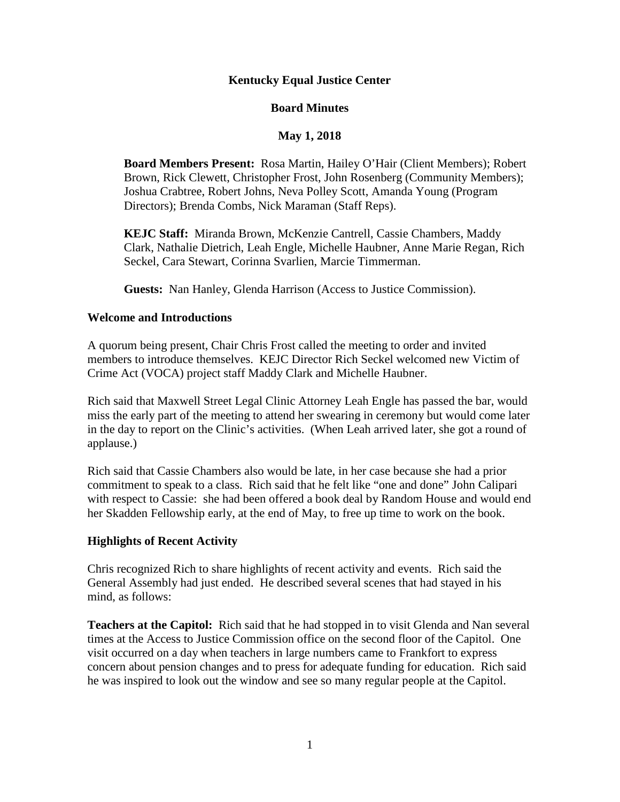# **Kentucky Equal Justice Center**

# **Board Minutes**

# **May 1, 2018**

**Board Members Present:** Rosa Martin, Hailey O'Hair (Client Members); Robert Brown, Rick Clewett, Christopher Frost, John Rosenberg (Community Members); Joshua Crabtree, Robert Johns, Neva Polley Scott, Amanda Young (Program Directors); Brenda Combs, Nick Maraman (Staff Reps).

**KEJC Staff:** Miranda Brown, McKenzie Cantrell, Cassie Chambers, Maddy Clark, Nathalie Dietrich, Leah Engle, Michelle Haubner, Anne Marie Regan, Rich Seckel, Cara Stewart, Corinna Svarlien, Marcie Timmerman.

**Guests:** Nan Hanley, Glenda Harrison (Access to Justice Commission).

### **Welcome and Introductions**

A quorum being present, Chair Chris Frost called the meeting to order and invited members to introduce themselves. KEJC Director Rich Seckel welcomed new Victim of Crime Act (VOCA) project staff Maddy Clark and Michelle Haubner.

Rich said that Maxwell Street Legal Clinic Attorney Leah Engle has passed the bar, would miss the early part of the meeting to attend her swearing in ceremony but would come later in the day to report on the Clinic's activities. (When Leah arrived later, she got a round of applause.)

Rich said that Cassie Chambers also would be late, in her case because she had a prior commitment to speak to a class. Rich said that he felt like "one and done" John Calipari with respect to Cassie: she had been offered a book deal by Random House and would end her Skadden Fellowship early, at the end of May, to free up time to work on the book.

### **Highlights of Recent Activity**

Chris recognized Rich to share highlights of recent activity and events. Rich said the General Assembly had just ended. He described several scenes that had stayed in his mind, as follows:

**Teachers at the Capitol:** Rich said that he had stopped in to visit Glenda and Nan several times at the Access to Justice Commission office on the second floor of the Capitol. One visit occurred on a day when teachers in large numbers came to Frankfort to express concern about pension changes and to press for adequate funding for education. Rich said he was inspired to look out the window and see so many regular people at the Capitol.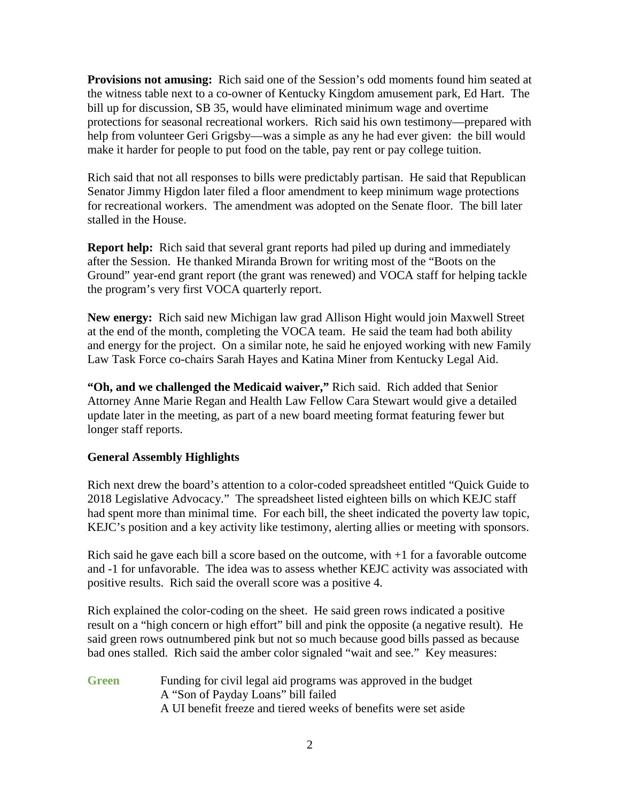**Provisions not amusing:** Rich said one of the Session's odd moments found him seated at the witness table next to a co-owner of Kentucky Kingdom amusement park, Ed Hart. The bill up for discussion, SB 35, would have eliminated minimum wage and overtime protections for seasonal recreational workers. Rich said his own testimony—prepared with help from volunteer Geri Grigsby—was a simple as any he had ever given: the bill would make it harder for people to put food on the table, pay rent or pay college tuition.

Rich said that not all responses to bills were predictably partisan. He said that Republican Senator Jimmy Higdon later filed a floor amendment to keep minimum wage protections for recreational workers. The amendment was adopted on the Senate floor. The bill later stalled in the House.

**Report help:** Rich said that several grant reports had piled up during and immediately after the Session. He thanked Miranda Brown for writing most of the "Boots on the Ground" year-end grant report (the grant was renewed) and VOCA staff for helping tackle the program's very first VOCA quarterly report.

**New energy:** Rich said new Michigan law grad Allison Hight would join Maxwell Street at the end of the month, completing the VOCA team. He said the team had both ability and energy for the project. On a similar note, he said he enjoyed working with new Family Law Task Force co-chairs Sarah Hayes and Katina Miner from Kentucky Legal Aid.

**"Oh, and we challenged the Medicaid waiver,"** Rich said. Rich added that Senior Attorney Anne Marie Regan and Health Law Fellow Cara Stewart would give a detailed update later in the meeting, as part of a new board meeting format featuring fewer but longer staff reports.

# **General Assembly Highlights**

Rich next drew the board's attention to a color-coded spreadsheet entitled "Quick Guide to 2018 Legislative Advocacy." The spreadsheet listed eighteen bills on which KEJC staff had spent more than minimal time. For each bill, the sheet indicated the poverty law topic, KEJC's position and a key activity like testimony, alerting allies or meeting with sponsors.

Rich said he gave each bill a score based on the outcome, with  $+1$  for a favorable outcome and -1 for unfavorable. The idea was to assess whether KEJC activity was associated with positive results. Rich said the overall score was a positive 4.

Rich explained the color-coding on the sheet. He said green rows indicated a positive result on a "high concern or high effort" bill and pink the opposite (a negative result). He said green rows outnumbered pink but not so much because good bills passed as because bad ones stalled. Rich said the amber color signaled "wait and see." Key measures:

**Green** Funding for civil legal aid programs was approved in the budget A "Son of Payday Loans" bill failed A UI benefit freeze and tiered weeks of benefits were set aside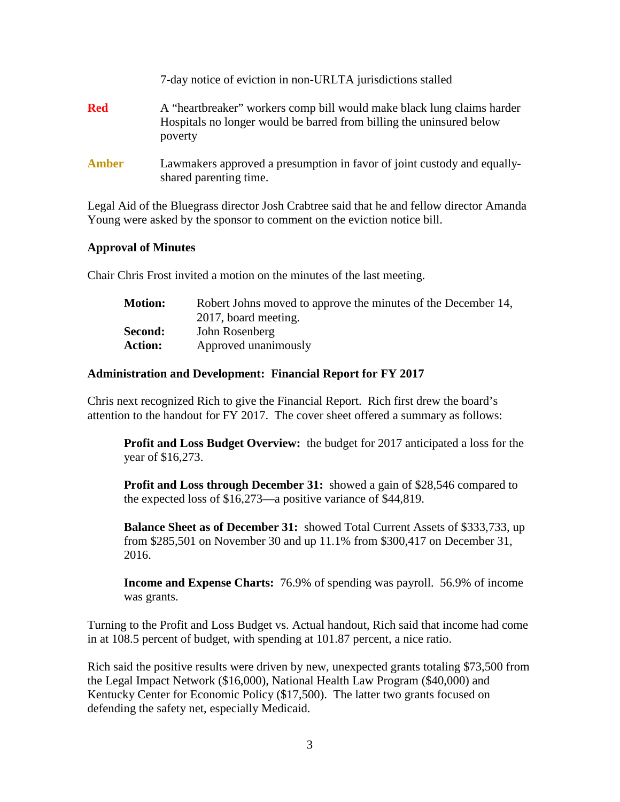|              | 7-day notice of eviction in non-URLTA jurisdictions stalled                                                                                               |
|--------------|-----------------------------------------------------------------------------------------------------------------------------------------------------------|
| <b>Red</b>   | A "heartbreaker" workers comp bill would make black lung claims harder<br>Hospitals no longer would be barred from billing the uninsured below<br>poverty |
| <b>Amber</b> | Lawmakers approved a presumption in favor of joint custody and equally-<br>shared parenting time.                                                         |

Legal Aid of the Bluegrass director Josh Crabtree said that he and fellow director Amanda Young were asked by the sponsor to comment on the eviction notice bill.

#### **Approval of Minutes**

Chair Chris Frost invited a motion on the minutes of the last meeting.

| <b>Motion:</b> | Robert Johns moved to approve the minutes of the December 14, |
|----------------|---------------------------------------------------------------|
|                | 2017, board meeting.                                          |
| Second:        | John Rosenberg                                                |
| <b>Action:</b> | Approved unanimously                                          |

### **Administration and Development: Financial Report for FY 2017**

Chris next recognized Rich to give the Financial Report. Rich first drew the board's attention to the handout for FY 2017. The cover sheet offered a summary as follows:

**Profit and Loss Budget Overview:** the budget for 2017 anticipated a loss for the year of \$16,273.

**Profit and Loss through December 31:** showed a gain of \$28,546 compared to the expected loss of \$16,273—a positive variance of \$44,819.

**Balance Sheet as of December 31:** showed Total Current Assets of \$333,733, up from \$285,501 on November 30 and up 11.1% from \$300,417 on December 31, 2016.

**Income and Expense Charts:** 76.9% of spending was payroll. 56.9% of income was grants.

Turning to the Profit and Loss Budget vs. Actual handout, Rich said that income had come in at 108.5 percent of budget, with spending at 101.87 percent, a nice ratio.

Rich said the positive results were driven by new, unexpected grants totaling \$73,500 from the Legal Impact Network (\$16,000), National Health Law Program (\$40,000) and Kentucky Center for Economic Policy (\$17,500). The latter two grants focused on defending the safety net, especially Medicaid.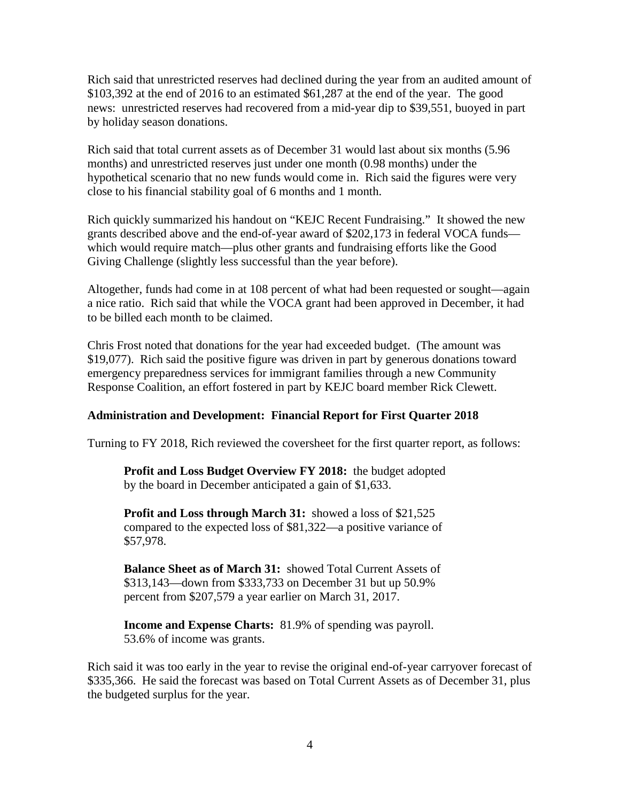Rich said that unrestricted reserves had declined during the year from an audited amount of \$103,392 at the end of 2016 to an estimated \$61,287 at the end of the year. The good news: unrestricted reserves had recovered from a mid-year dip to \$39,551, buoyed in part by holiday season donations.

Rich said that total current assets as of December 31 would last about six months (5.96 months) and unrestricted reserves just under one month (0.98 months) under the hypothetical scenario that no new funds would come in. Rich said the figures were very close to his financial stability goal of 6 months and 1 month.

Rich quickly summarized his handout on "KEJC Recent Fundraising." It showed the new grants described above and the end-of-year award of \$202,173 in federal VOCA funds which would require match—plus other grants and fundraising efforts like the Good Giving Challenge (slightly less successful than the year before).

Altogether, funds had come in at 108 percent of what had been requested or sought—again a nice ratio. Rich said that while the VOCA grant had been approved in December, it had to be billed each month to be claimed.

Chris Frost noted that donations for the year had exceeded budget. (The amount was \$19,077). Rich said the positive figure was driven in part by generous donations toward emergency preparedness services for immigrant families through a new Community Response Coalition, an effort fostered in part by KEJC board member Rick Clewett.

### **Administration and Development: Financial Report for First Quarter 2018**

Turning to FY 2018, Rich reviewed the coversheet for the first quarter report, as follows:

**Profit and Loss Budget Overview FY 2018:** the budget adopted by the board in December anticipated a gain of \$1,633.

**Profit and Loss through March 31:** showed a loss of \$21,525 compared to the expected loss of \$81,322—a positive variance of \$57,978.

**Balance Sheet as of March 31:** showed Total Current Assets of \$313,143—down from \$333,733 on December 31 but up 50.9% percent from \$207,579 a year earlier on March 31, 2017.

**Income and Expense Charts:** 81.9% of spending was payroll. 53.6% of income was grants.

Rich said it was too early in the year to revise the original end-of-year carryover forecast of \$335,366. He said the forecast was based on Total Current Assets as of December 31, plus the budgeted surplus for the year.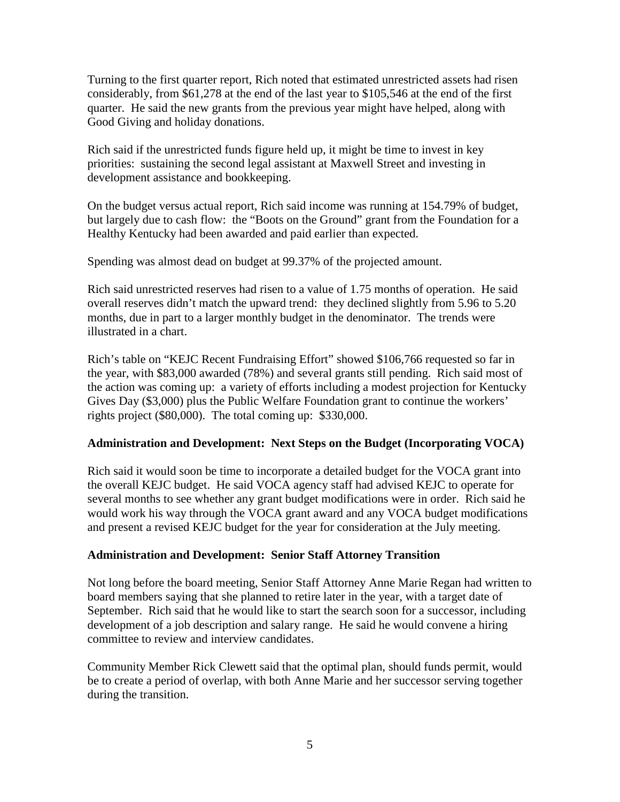Turning to the first quarter report, Rich noted that estimated unrestricted assets had risen considerably, from \$61,278 at the end of the last year to \$105,546 at the end of the first quarter. He said the new grants from the previous year might have helped, along with Good Giving and holiday donations.

Rich said if the unrestricted funds figure held up, it might be time to invest in key priorities: sustaining the second legal assistant at Maxwell Street and investing in development assistance and bookkeeping.

On the budget versus actual report, Rich said income was running at 154.79% of budget, but largely due to cash flow: the "Boots on the Ground" grant from the Foundation for a Healthy Kentucky had been awarded and paid earlier than expected.

Spending was almost dead on budget at 99.37% of the projected amount.

Rich said unrestricted reserves had risen to a value of 1.75 months of operation. He said overall reserves didn't match the upward trend: they declined slightly from 5.96 to 5.20 months, due in part to a larger monthly budget in the denominator. The trends were illustrated in a chart.

Rich's table on "KEJC Recent Fundraising Effort" showed \$106,766 requested so far in the year, with \$83,000 awarded (78%) and several grants still pending. Rich said most of the action was coming up: a variety of efforts including a modest projection for Kentucky Gives Day (\$3,000) plus the Public Welfare Foundation grant to continue the workers' rights project (\$80,000). The total coming up: \$330,000.

# **Administration and Development: Next Steps on the Budget (Incorporating VOCA)**

Rich said it would soon be time to incorporate a detailed budget for the VOCA grant into the overall KEJC budget. He said VOCA agency staff had advised KEJC to operate for several months to see whether any grant budget modifications were in order. Rich said he would work his way through the VOCA grant award and any VOCA budget modifications and present a revised KEJC budget for the year for consideration at the July meeting.

# **Administration and Development: Senior Staff Attorney Transition**

Not long before the board meeting, Senior Staff Attorney Anne Marie Regan had written to board members saying that she planned to retire later in the year, with a target date of September. Rich said that he would like to start the search soon for a successor, including development of a job description and salary range. He said he would convene a hiring committee to review and interview candidates.

Community Member Rick Clewett said that the optimal plan, should funds permit, would be to create a period of overlap, with both Anne Marie and her successor serving together during the transition.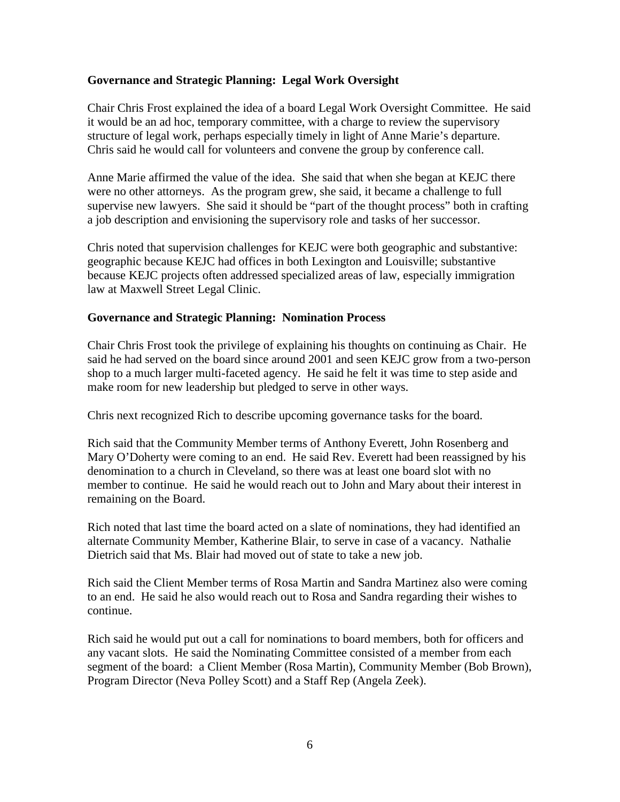### **Governance and Strategic Planning: Legal Work Oversight**

Chair Chris Frost explained the idea of a board Legal Work Oversight Committee. He said it would be an ad hoc, temporary committee, with a charge to review the supervisory structure of legal work, perhaps especially timely in light of Anne Marie's departure. Chris said he would call for volunteers and convene the group by conference call.

Anne Marie affirmed the value of the idea. She said that when she began at KEJC there were no other attorneys. As the program grew, she said, it became a challenge to full supervise new lawyers. She said it should be "part of the thought process" both in crafting a job description and envisioning the supervisory role and tasks of her successor.

Chris noted that supervision challenges for KEJC were both geographic and substantive: geographic because KEJC had offices in both Lexington and Louisville; substantive because KEJC projects often addressed specialized areas of law, especially immigration law at Maxwell Street Legal Clinic.

### **Governance and Strategic Planning: Nomination Process**

Chair Chris Frost took the privilege of explaining his thoughts on continuing as Chair. He said he had served on the board since around 2001 and seen KEJC grow from a two-person shop to a much larger multi-faceted agency. He said he felt it was time to step aside and make room for new leadership but pledged to serve in other ways.

Chris next recognized Rich to describe upcoming governance tasks for the board.

Rich said that the Community Member terms of Anthony Everett, John Rosenberg and Mary O'Doherty were coming to an end. He said Rev. Everett had been reassigned by his denomination to a church in Cleveland, so there was at least one board slot with no member to continue. He said he would reach out to John and Mary about their interest in remaining on the Board.

Rich noted that last time the board acted on a slate of nominations, they had identified an alternate Community Member, Katherine Blair, to serve in case of a vacancy. Nathalie Dietrich said that Ms. Blair had moved out of state to take a new job.

Rich said the Client Member terms of Rosa Martin and Sandra Martinez also were coming to an end. He said he also would reach out to Rosa and Sandra regarding their wishes to continue.

Rich said he would put out a call for nominations to board members, both for officers and any vacant slots. He said the Nominating Committee consisted of a member from each segment of the board: a Client Member (Rosa Martin), Community Member (Bob Brown), Program Director (Neva Polley Scott) and a Staff Rep (Angela Zeek).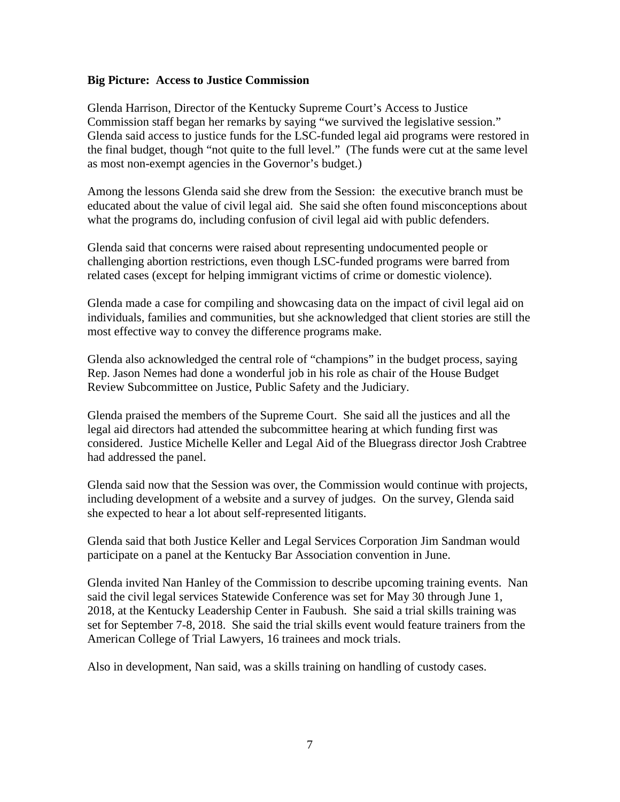#### **Big Picture: Access to Justice Commission**

Glenda Harrison, Director of the Kentucky Supreme Court's Access to Justice Commission staff began her remarks by saying "we survived the legislative session." Glenda said access to justice funds for the LSC-funded legal aid programs were restored in the final budget, though "not quite to the full level." (The funds were cut at the same level as most non-exempt agencies in the Governor's budget.)

Among the lessons Glenda said she drew from the Session: the executive branch must be educated about the value of civil legal aid. She said she often found misconceptions about what the programs do, including confusion of civil legal aid with public defenders.

Glenda said that concerns were raised about representing undocumented people or challenging abortion restrictions, even though LSC-funded programs were barred from related cases (except for helping immigrant victims of crime or domestic violence).

Glenda made a case for compiling and showcasing data on the impact of civil legal aid on individuals, families and communities, but she acknowledged that client stories are still the most effective way to convey the difference programs make.

Glenda also acknowledged the central role of "champions" in the budget process, saying Rep. Jason Nemes had done a wonderful job in his role as chair of the House Budget Review Subcommittee on Justice, Public Safety and the Judiciary.

Glenda praised the members of the Supreme Court. She said all the justices and all the legal aid directors had attended the subcommittee hearing at which funding first was considered. Justice Michelle Keller and Legal Aid of the Bluegrass director Josh Crabtree had addressed the panel.

Glenda said now that the Session was over, the Commission would continue with projects, including development of a website and a survey of judges. On the survey, Glenda said she expected to hear a lot about self-represented litigants.

Glenda said that both Justice Keller and Legal Services Corporation Jim Sandman would participate on a panel at the Kentucky Bar Association convention in June.

Glenda invited Nan Hanley of the Commission to describe upcoming training events. Nan said the civil legal services Statewide Conference was set for May 30 through June 1, 2018, at the Kentucky Leadership Center in Faubush. She said a trial skills training was set for September 7-8, 2018. She said the trial skills event would feature trainers from the American College of Trial Lawyers, 16 trainees and mock trials.

Also in development, Nan said, was a skills training on handling of custody cases.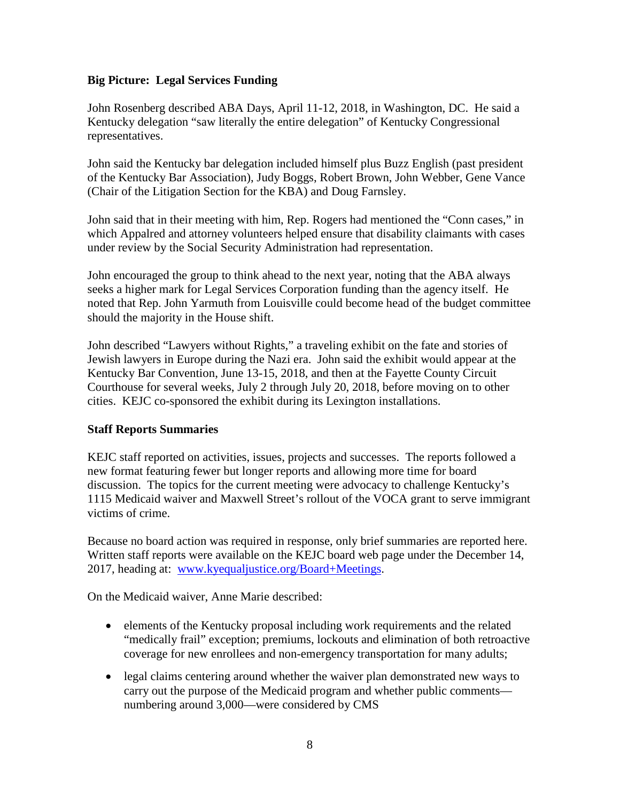# **Big Picture: Legal Services Funding**

John Rosenberg described ABA Days, April 11-12, 2018, in Washington, DC. He said a Kentucky delegation "saw literally the entire delegation" of Kentucky Congressional representatives.

John said the Kentucky bar delegation included himself plus Buzz English (past president of the Kentucky Bar Association), Judy Boggs, Robert Brown, John Webber, Gene Vance (Chair of the Litigation Section for the KBA) and Doug Farnsley.

John said that in their meeting with him, Rep. Rogers had mentioned the "Conn cases," in which Appalred and attorney volunteers helped ensure that disability claimants with cases under review by the Social Security Administration had representation.

John encouraged the group to think ahead to the next year, noting that the ABA always seeks a higher mark for Legal Services Corporation funding than the agency itself. He noted that Rep. John Yarmuth from Louisville could become head of the budget committee should the majority in the House shift.

John described "Lawyers without Rights," a traveling exhibit on the fate and stories of Jewish lawyers in Europe during the Nazi era. John said the exhibit would appear at the Kentucky Bar Convention, June 13-15, 2018, and then at the Fayette County Circuit Courthouse for several weeks, July 2 through July 20, 2018, before moving on to other cities. KEJC co-sponsored the exhibit during its Lexington installations.

### **Staff Reports Summaries**

KEJC staff reported on activities, issues, projects and successes. The reports followed a new format featuring fewer but longer reports and allowing more time for board discussion. The topics for the current meeting were advocacy to challenge Kentucky's 1115 Medicaid waiver and Maxwell Street's rollout of the VOCA grant to serve immigrant victims of crime.

Because no board action was required in response, only brief summaries are reported here. Written staff reports were available on the KEJC board web page under the December 14, 2017, heading at: [www.kyequaljustice.org/Board+Meetings.](http://www.kyequaljustice.org/Board+Meetings)

On the Medicaid waiver, Anne Marie described:

- elements of the Kentucky proposal including work requirements and the related "medically frail" exception; premiums, lockouts and elimination of both retroactive coverage for new enrollees and non-emergency transportation for many adults;
- legal claims centering around whether the waiver plan demonstrated new ways to carry out the purpose of the Medicaid program and whether public comments numbering around 3,000—were considered by CMS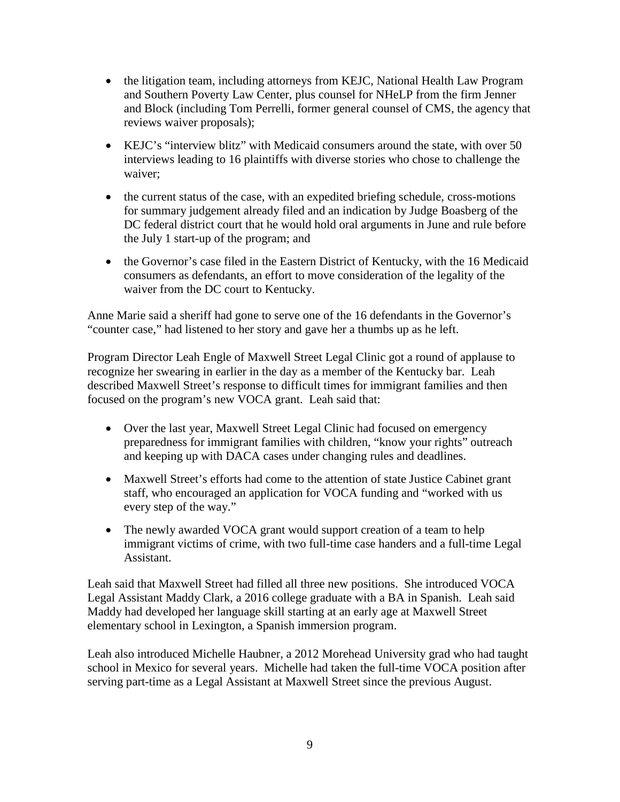- the litigation team, including attorneys from KEJC, National Health Law Program and Southern Poverty Law Center, plus counsel for NHeLP from the firm Jenner and Block (including Tom Perrelli, former general counsel of CMS, the agency that reviews waiver proposals);
- KEJC's "interview blitz" with Medicaid consumers around the state, with over 50 interviews leading to 16 plaintiffs with diverse stories who chose to challenge the waiver;
- the current status of the case, with an expedited briefing schedule, cross-motions for summary judgement already filed and an indication by Judge Boasberg of the DC federal district court that he would hold oral arguments in June and rule before the July 1 start-up of the program; and
- the Governor's case filed in the Eastern District of Kentucky, with the 16 Medicaid consumers as defendants, an effort to move consideration of the legality of the waiver from the DC court to Kentucky.

Anne Marie said a sheriff had gone to serve one of the 16 defendants in the Governor's "counter case," had listened to her story and gave her a thumbs up as he left.

Program Director Leah Engle of Maxwell Street Legal Clinic got a round of applause to recognize her swearing in earlier in the day as a member of the Kentucky bar. Leah described Maxwell Street's response to difficult times for immigrant families and then focused on the program's new VOCA grant. Leah said that:

- Over the last year, Maxwell Street Legal Clinic had focused on emergency preparedness for immigrant families with children, "know your rights" outreach and keeping up with DACA cases under changing rules and deadlines.
- Maxwell Street's efforts had come to the attention of state Justice Cabinet grant staff, who encouraged an application for VOCA funding and "worked with us every step of the way."
- The newly awarded VOCA grant would support creation of a team to help immigrant victims of crime, with two full-time case handers and a full-time Legal Assistant.

Leah said that Maxwell Street had filled all three new positions. She introduced VOCA Legal Assistant Maddy Clark, a 2016 college graduate with a BA in Spanish. Leah said Maddy had developed her language skill starting at an early age at Maxwell Street elementary school in Lexington, a Spanish immersion program.

Leah also introduced Michelle Haubner, a 2012 Morehead University grad who had taught school in Mexico for several years. Michelle had taken the full-time VOCA position after serving part-time as a Legal Assistant at Maxwell Street since the previous August.